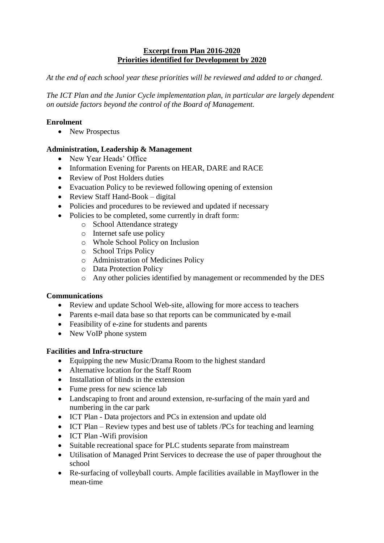### **Excerpt from Plan 2016-2020 Priorities identified for Development by 2020**

*At the end of each school year these priorities will be reviewed and added to or changed.*

*The ICT Plan and the Junior Cycle implementation plan, in particular are largely dependent on outside factors beyond the control of the Board of Management.*

## **Enrolment**

• New Prospectus

# **Administration, Leadership & Management**

- New Year Heads' Office
- Information Evening for Parents on HEAR, DARE and RACE
- Review of Post Holders duties
- Evacuation Policy to be reviewed following opening of extension
- Review Staff Hand-Book digital
- Policies and procedures to be reviewed and updated if necessary
- Policies to be completed, some currently in draft form:
	- o School Attendance strategy
		- o Internet safe use policy
	- o Whole School Policy on Inclusion
	- o School Trips Policy
	- o Administration of Medicines Policy
	- o Data Protection Policy
	- o Any other policies identified by management or recommended by the DES

### **Communications**

- Review and update School Web-site, allowing for more access to teachers
- Parents e-mail data base so that reports can be communicated by e-mail
- Feasibility of e-zine for students and parents
- New VoIP phone system

### **Facilities and Infra-structure**

- Equipping the new Music/Drama Room to the highest standard
- Alternative location for the Staff Room
- Installation of blinds in the extension
- Fume press for new science lab
- Landscaping to front and around extension, re-surfacing of the main yard and numbering in the car park
- ICT Plan Data projectors and PCs in extension and update old
- ICT Plan Review types and best use of tablets /PCs for teaching and learning
- ICT Plan -Wifi provision
- Suitable recreational space for PLC students separate from mainstream
- Utilisation of Managed Print Services to decrease the use of paper throughout the school
- Re-surfacing of volleyball courts. Ample facilities available in Mayflower in the mean-time